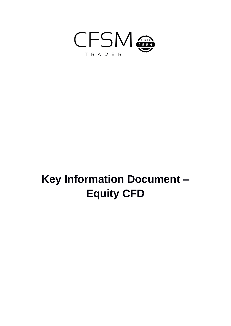

# **Key Information Document – Equity CFD**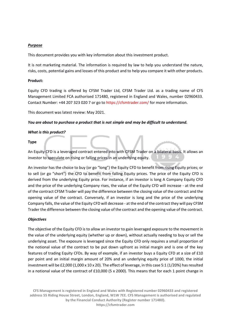# *Purpose*

This document provides you with key information about this investment product.

It is not marketing material. The information is required by law to help you understand the nature, risks, costs, potential gains and losses of this product and to help you compare it with other products.

# **Product:**

Equity CFD trading is offered by CFSM Trader Ltd, CFSM Trader Ltd. as a trading name of CFS Management Limited FCA authorised 171480, registered in England and Wales, number 02960433. Contact Number: +44 207 323 020 7 or go to https://cfsmtrader.com/ for more information.

This document was latest review: May 2021.

# *You are about to purchase a product that is not simple and may be difficult to understand.*

# *What is this product?*

# **Type**

An Equity CFD is a leveraged contract entered into with CFSM Trader on a bilateral basis. It allows an investor to speculate on rising or falling prices in an underlying equity.

An investor has the choice to buy (or go "long") the Equity CFD to benefit from rising Equity prices; or to sell (or go "short") the CFD to benefit from falling Equity prices. The price of the Equity CFD is derived from the underlying Equity price. For instance, if an investor is long A Company Equity CFD and the price of the underlying Company rises, the value of the Equity CFD will increase - at the end of the contract CFSM Trader will pay the difference between the closing value of the contract and the opening value of the contract. Conversely, if an investor is long and the price of the underlying Company falls, the value of the Equity CFD will decrease - at the end of the contract they will pay CFSM Trader the difference between the closing value of the contract and the opening value of the contract.

### *Objectives*

The objective of the Equity CFD is to allow an investor to gain leveraged exposure to the movement in the value of the underlying equity (whether up or down), without actually needing to buy or sell the underlying asset. The exposure is leveraged since the Equity CFD only requires a small proportion of the notional value of the contract to be put down upfront as initial margin and is one of the key features of trading Equity CFDs. By way of example, if an investor buys a Equity CFD at a size of £10 per point and an initial margin amount of 20% and an underlying equity price of 1000, the initial investment will be £2,000 (1,000 x 10 x 20). The effect of leverage, in this case 5:1 (1/20%) has resulted in a notional value of the contract of £10,000 (5 x 2000). This means that for each 1 point change in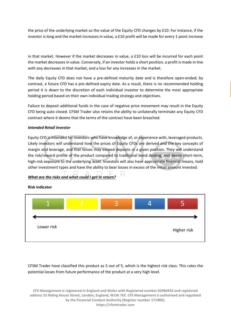the price of the underlying market so the value of the Equity CFD changes by £10. For instance, if the investor is long and the market increases in value, a £10 profit will be made for every 1 point increase

in that market. However if the market decreases in value, a £10 loss will be incurred for each point the market decreases in value. Conversely, if an investor holds a short position, a profit is made in line with any decreases in that market, and a loss for any increases in the market.

The daily Equity CFD does not have a pre-defined maturity date and is therefore open-ended; by contrast, a future CFD has a pre-defined expiry date. As a result, there is no recommended holding period it is down to the discretion of each individual investor to determine the most appropriate holding period based on their own individual trading strategy and objectives.

Failure to deposit additional funds in the case of negative price movement may result in the Equity CFD being auto closed. CFSM Trader also retains the ability to unilaterally terminate any Equity CFD contract where it deems that the terms of the contract have been breached.

# *Intended Retail Investor*

Equity CFD is intended for investors who have knowledge of, or experience with, leveraged products. Likely investors will understand how the prices of Equity CFDs are derived and the key concepts of margin and leverage, and that losses may exceed deposits in a given position. They will understand the risk/reward profile of the product compared to traditional bond dealing, and desire short-term, high-risk exposure to the underlying asset. Investors will also have appropriate financial means, hold other investment types and have the ability to bear losses in excess of the initial amount invested.

# *What are the risks and what could I get in return?*

# **Risk indicator**



CFSM Trader have classified this product as 5 out of 5, which is the highest risk class. This rates the potential losses from future performance of the product at a very high level.

**CFS Management is registered in England and Wales with Registered number 02960433 and registered address 55 Riding House Street, London, England, W1W 7EE. CFS Management is authorised and regulated by the Financial Conduct Authority (Register number 171480). https://cfsmtrader.com**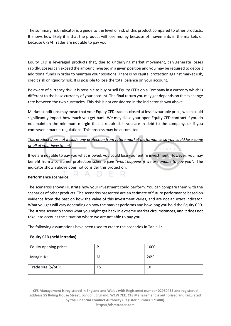The summary risk indicator is a guide to the level of risk of this product compared to other products. It shows how likely it is that the product will lose money because of movements in the markets or because CFSM Trader are not able to pay you.

Equity CFD is leveraged products that, due to underlying market movement, can generate losses rapidly. Losses can exceed the amount invested in a given position and you may be required to deposit additional funds in order to maintain your positions. There is no capital protection against market risk, credit risk or liquidity risk. It is possible to lose the total balance on your account.

Be aware of currency risk. It is possible to buy or sell Equity CFDs on a Company in a currency which is different to the base currency of your account. The final return you may get depends on the exchange rate between the two currencies. This risk is not considered in the indicator shown above.

Market conditions may mean that your Equity CFD trade is closed at less favourable price, which could significantly impact how much you get back. We may close your open Equity CFD contract if you do not maintain the minimum margin that is required, if you are in debt to the company, or if you contravene market regulations. This process may be automated.

# *This product does not include any protection from future market performance so you could lose some or all of your investment.*

If we are not able to pay you what is owed, you could lose your entire investment. However, you may benefit from a consumer protection scheme *(see "what happens if we are unable to pay you")*. The indicator shown above does not consider this protection.

# **Performance scenarios**

The scenarios shown illustrate how your investment could perform. You can compare them with the scenarios of other products. The scenarios presented are an estimate of future performance based on evidence from the past on how the value of this investment varies, and are not an exact indicator. What you get will vary depending on how the market performs and how long you hold the Equity CFD. The stress scenario shows what you might get back in extreme market circumstances, and it does not take into account the situation where we are not able to pay you.

The following assumptions have been used to create the scenarios in Table 1:

| <b>Equity CFD (held intraday)</b> |    |      |  |
|-----------------------------------|----|------|--|
| Equity opening price:             | P  | 1000 |  |
| Margin %:                         | M  | 20%  |  |
| Trade size (\$/pt.):              | TS | 10   |  |

**CFS Management is registered in England and Wales with Registered number 02960433 and registered address 55 Riding House Street, London, England, W1W 7EE. CFS Management is authorised and regulated by the Financial Conduct Authority (Register number 171480). https://cfsmtrader.com**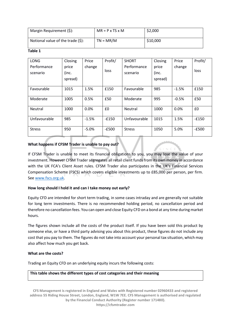| Margin Requirement (\$):              | $MR = P \times TS \times M$ | \$2,000  |
|---------------------------------------|-----------------------------|----------|
| Notional value of the trade $(\xi)$ : | $TN = MR/M$                 | \$10,000 |

#### **Table 1**

| <b>LONG</b>    | Closing | Price   | Profit/ | <b>SHORT</b>  | Closing | Price   | Profit/ |
|----------------|---------|---------|---------|---------------|---------|---------|---------|
| Performance    | price   | change  |         | Performance   | price   | change  |         |
| scenario       | (inc.   |         | loss    | scenario      | (inc.   |         | loss    |
|                | spread) |         |         |               | spread) |         |         |
|                |         |         |         |               |         |         |         |
| Favourable     | 1015    | 1.5%    | £150    | Favourable    | 985     | $-1.5%$ | £150    |
|                |         |         |         |               |         |         |         |
| Moderate       | 1005    | 0.5%    | £50     | Moderate      | 995     | $-0.5%$ | £50     |
|                |         |         |         |               |         |         |         |
| <b>Neutral</b> | 1000    | 0.0%    | £0      | Neutral       | 1000    | 0.0%    | £0      |
|                |         |         |         |               |         |         |         |
| Unfavourable   | 985     | $-1.5%$ | $-£150$ | Unfavourable  | 1015    | 1.5%    | $-£150$ |
|                |         |         |         |               |         |         |         |
| <b>Stress</b>  | 950     | $-5.0%$ | $-E500$ | <b>Stress</b> | 1050    | 5.0%    | $-E500$ |
|                |         |         |         |               |         |         |         |

# **What happens if CFSM Trader is unable to pay out?**

If CFSM Trader is unable to meet its financial obligations to you, you may lose the value of your investment. However CFSM Trader segregates all retail client funds from its own money in accordance with the UK FCA's Client Asset rules. CFSM Trader also participates in the UK's Financial Services Compensation Scheme (FSCS) which covers eligible investments up to £85,000 per person, per firm. Se[e www.fscs.org.uk.](http://www.fscs.org.uk/)

# **How long should I hold it and can I take money out early?**

Equity CFD are intended for short term trading, in some cases intraday and are generally not suitable for long term investments. There is no recommended holding period, no cancellation period and therefore no cancellation fees. You can open and close Equity CFD on a bond at any time during market hours.

The figures shown include all the costs of the product itself. If you have been sold this product by someone else, or have a third party advising you about this product, these figures do not include any cost that you pay to them. The figures do not take into account your personal tax situation, which may also affect how much you get back.

# **What are the costs?**

Trading an Equity CFD on an underlying equity incurs the following costs:

# **This table shows the different types of cost categories and their meaning**